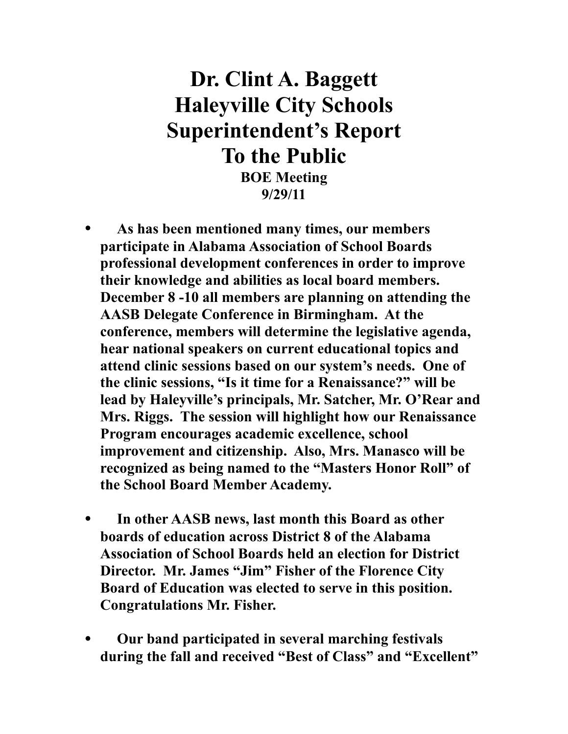## **Dr. Clint A. Baggett Haleyville City Schools Superintendent's Report To the Public**

**BOE Meeting 9/29/11**

- **As has been mentioned many times, our members participate in Alabama Association of School Boards professional development conferences in order to improve their knowledge and abilities as local board members. December 8 -10 all members are planning on attending the AASB Delegate Conference in Birmingham. At the conference, members will determine the legislative agenda, hear national speakers on current educational topics and attend clinic sessions based on our system's needs. One of the clinic sessions, "Is it time for a Renaissance?" will be lead by Haleyville's principals, Mr. Satcher, Mr. O'Rear and Mrs. Riggs. The session will highlight how our Renaissance Program encourages academic excellence, school improvement and citizenship. Also, Mrs. Manasco will be recognized as being named to the "Masters Honor Roll" of the School Board Member Academy.**
- **In other AASB news, last month this Board as other boards of education across District 8 of the Alabama Association of School Boards held an election for District Director. Mr. James "Jim" Fisher of the Florence City Board of Education was elected to serve in this position. Congratulations Mr. Fisher.**
- **Our band participated in several marching festivals during the fall and received "Best of Class" and "Excellent"**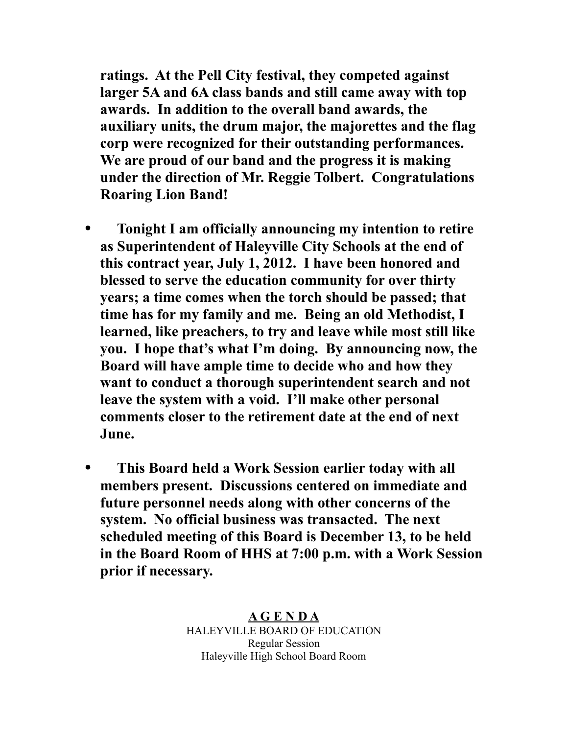**ratings. At the Pell City festival, they competed against larger 5A and 6A class bands and still came away with top awards. In addition to the overall band awards, the auxiliary units, the drum major, the majorettes and the flag corp were recognized for their outstanding performances. We are proud of our band and the progress it is making under the direction of Mr. Reggie Tolbert. Congratulations Roaring Lion Band!** 

- **Tonight I am officially announcing my intention to retire as Superintendent of Haleyville City Schools at the end of this contract year, July 1, 2012. I have been honored and blessed to serve the education community for over thirty years; a time comes when the torch should be passed; that time has for my family and me. Being an old Methodist, I learned, like preachers, to try and leave while most still like you. I hope that's what I'm doing. By announcing now, the Board will have ample time to decide who and how they want to conduct a thorough superintendent search and not leave the system with a void. I'll make other personal comments closer to the retirement date at the end of next June.**
- **This Board held a Work Session earlier today with all members present. Discussions centered on immediate and future personnel needs along with other concerns of the system. No official business was transacted. The next scheduled meeting of this Board is December 13, to be held in the Board Room of HHS at 7:00 p.m. with a Work Session prior if necessary.**

**A G E N D A** HALEYVILLE BOARD OF EDUCATION Regular Session Haleyville High School Board Room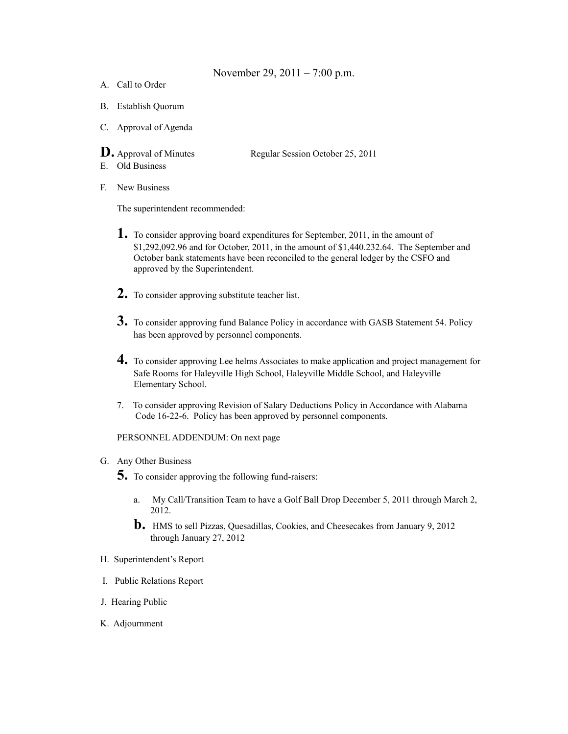## November 29, 2011 – 7:00 p.m.

- A. Call to Order
- B. Establish Quorum
- C. Approval of Agenda
- 

**D.** Approval of Minutes Regular Session October 25, 2011

- E. Old Business
- F. New Business

The superintendent recommended:

- **1.** To consider approving board expenditures for September, 2011, in the amount of \$1,292,092.96 and for October, 2011, in the amount of \$1,440.232.64. The September and October bank statements have been reconciled to the general ledger by the CSFO and approved by the Superintendent.
- **2.** To consider approving substitute teacher list.
- **3.** To consider approving fund Balance Policy in accordance with GASB Statement 54. Policy has been approved by personnel components.
- **4.** To consider approving Lee helms Associates to make application and project management for Safe Rooms for Haleyville High School, Haleyville Middle School, and Haleyville Elementary School.
- 7. To consider approving Revision of Salary Deductions Policy in Accordance with Alabama Code 16-22-6. Policy has been approved by personnel components.

PERSONNEL ADDENDUM: On next page

- G. Any Other Business
	- **5.** To consider approving the following fund-raisers:
		- a. My Call/Transition Team to have a Golf Ball Drop December 5, 2011 through March 2, 2012.
		- **b.** HMS to sell Pizzas, Quesadillas, Cookies, and Cheesecakes from January 9, 2012 through January 27, 2012
- H. Superintendent's Report
- I. Public Relations Report
- J. Hearing Public
- K. Adjournment